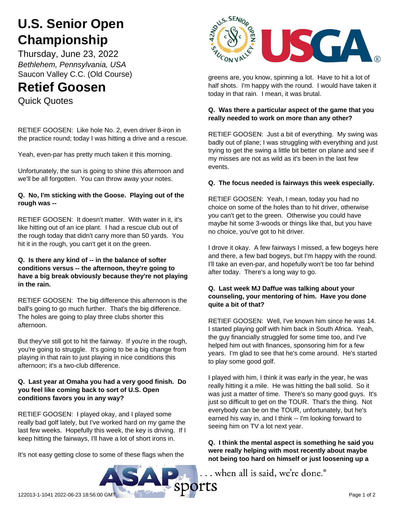# **U.S. Senior Open Championship**

Thursday, June 23, 2022 *Bethlehem, Pennsylvania, USA* Saucon Valley C.C. (Old Course)

# **Retief Goosen**

Quick Quotes

RETIEF GOOSEN: Like hole No. 2, even driver 8-iron in the practice round; today I was hitting a drive and a rescue.

Yeah, even-par has pretty much taken it this morning.

Unfortunately, the sun is going to shine this afternoon and we'll be all forgotten. You can throw away your notes.

# **Q. No, I'm sticking with the Goose. Playing out of the rough was --**

RETIEF GOOSEN: It doesn't matter. With water in it, it's like hitting out of an ice plant. I had a rescue club out of the rough today that didn't carry more than 50 yards. You hit it in the rough, you can't get it on the green.

# **Q. Is there any kind of -- in the balance of softer conditions versus -- the afternoon, they're going to have a big break obviously because they're not playing in the rain.**

RETIEF GOOSEN: The big difference this afternoon is the ball's going to go much further. That's the big difference. The holes are going to play three clubs shorter this afternoon.

But they've still got to hit the fairway. If you're in the rough, you're going to struggle. It's going to be a big change from playing in that rain to just playing in nice conditions this afternoon; it's a two-club difference.

# **Q. Last year at Omaha you had a very good finish. Do you feel like coming back to sort of U.S. Open conditions favors you in any way?**

RETIEF GOOSEN: I played okay, and I played some really bad golf lately, but I've worked hard on my game the last few weeks. Hopefully this week, the key is driving. If I keep hitting the fairways, I'll have a lot of short irons in.

It's not easy getting close to some of these flags when the



greens are, you know, spinning a lot. Have to hit a lot of half shots. I'm happy with the round. I would have taken it today in that rain. I mean, it was brutal.

# **Q. Was there a particular aspect of the game that you really needed to work on more than any other?**

RETIEF GOOSEN: Just a bit of everything. My swing was badly out of plane; I was struggling with everything and just trying to get the swing a little bit better on plane and see if my misses are not as wild as it's been in the last few events.

# **Q. The focus needed is fairways this week especially.**

RETIEF GOOSEN: Yeah, I mean, today you had no choice on some of the holes than to hit driver, otherwise you can't get to the green. Otherwise you could have maybe hit some 3-woods or things like that, but you have no choice, you've got to hit driver.

I drove it okay. A few fairways I missed, a few bogeys here and there, a few bad bogeys, but I'm happy with the round. I'll take an even-par, and hopefully won't be too far behind after today. There's a long way to go.

# **Q. Last week MJ Daffue was talking about your counseling, your mentoring of him. Have you done quite a bit of that?**

RETIEF GOOSEN: Well, I've known him since he was 14. I started playing golf with him back in South Africa. Yeah, the guy financially struggled for some time too, and I've helped him out with finances, sponsoring him for a few years. I'm glad to see that he's come around. He's started to play some good golf.

I played with him, I think it was early in the year, he was really hitting it a mile. He was hitting the ball solid. So it was just a matter of time. There's so many good guys. It's just so difficult to get on the TOUR. That's the thing. Not everybody can be on the TOUR, unfortunately, but he's earned his way in, and I think -- I'm looking forward to seeing him on TV a lot next year.

**Q. I think the mental aspect is something he said you were really helping with most recently about maybe not being too hard on himself or just loosening up a**

.. when all is said, we're done.®